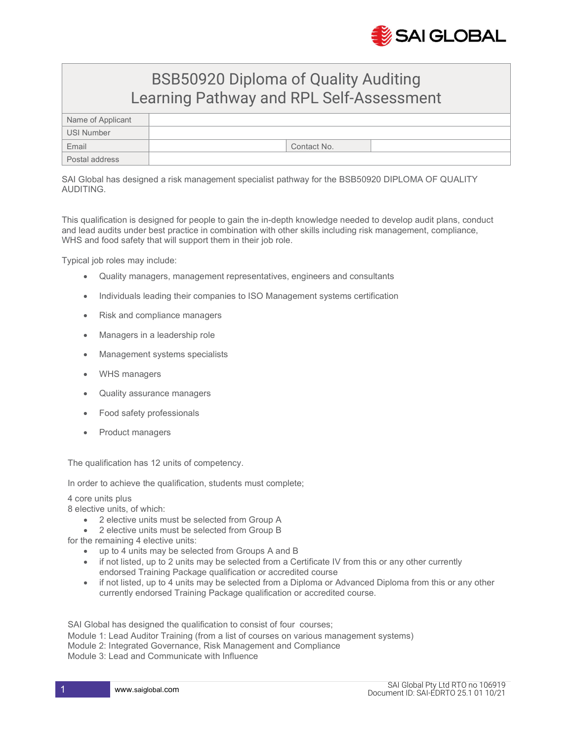

## BSB50920 Diploma of Quality Auditing Learning Pathway and RPL Self-Assessment

| Name of Applicant |             |  |
|-------------------|-------------|--|
| USI Number        |             |  |
| Email             | Contact No. |  |
| Postal address    |             |  |

SAI Global has designed a risk management specialist pathway for the BSB50920 DIPLOMA OF QUALITY AUDITING.

This qualification is designed for people to gain the in-depth knowledge needed to develop audit plans, conduct and lead audits under best practice in combination with other skills including risk management, compliance, WHS and food safety that will support them in their job role.

Typical job roles may include:

- Quality managers, management representatives, engineers and consultants
- Individuals leading their companies to ISO Management systems certification
- Risk and compliance managers
- Managers in a leadership role
- Management systems specialists
- WHS managers
- Quality assurance managers
- Food safety professionals
- Product managers

The qualification has 12 units of competency.

In order to achieve the qualification, students must complete;

4 core units plus

8 elective units, of which:

- 2 elective units must be selected from Group A
- 2 elective units must be selected from Group B

for the remaining 4 elective units:

- up to 4 units may be selected from Groups A and B
- if not listed, up to 2 units may be selected from a Certificate IV from this or any other currently endorsed Training Package qualification or accredited course
- if not listed, up to 4 units may be selected from a Diploma or Advanced Diploma from this or any other currently endorsed Training Package qualification or accredited course.

SAI Global has designed the qualification to consist of four courses;

Module 1: Lead Auditor Training (from a list of courses on various management systems) Module 2: Integrated Governance, Risk Management and Compliance Module 3: Lead and Communicate with Influence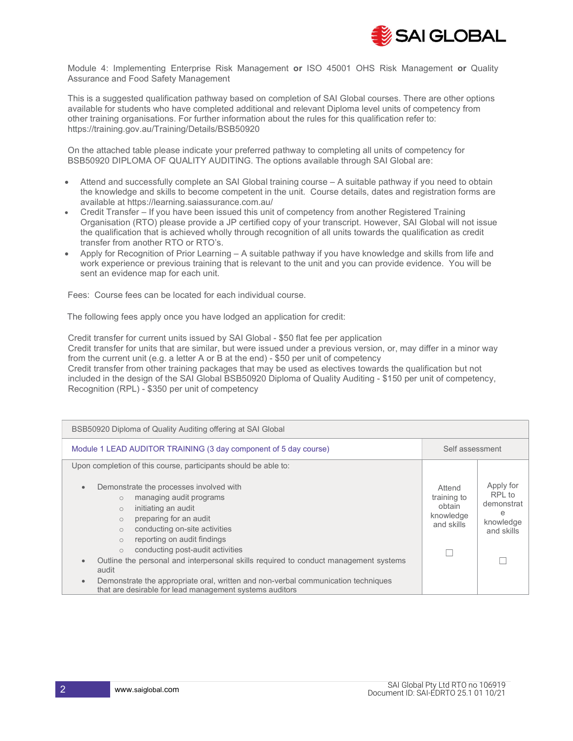

Module 4: Implementing Enterprise Risk Management or ISO 45001 OHS Risk Management or Quality Assurance and Food Safety Management

This is a suggested qualification pathway based on completion of SAI Global courses. There are other options available for students who have completed additional and relevant Diploma level units of competency from other training organisations. For further information about the rules for this qualification refer to: https://training.gov.au/Training/Details/BSB50920

On the attached table please indicate your preferred pathway to completing all units of competency for BSB50920 DIPLOMA OF QUALITY AUDITING. The options available through SAI Global are:

- Attend and successfully complete an SAI Global training course A suitable pathway if you need to obtain the knowledge and skills to become competent in the unit. Course details, dates and registration forms are available at https://learning.saiassurance.com.au/
- Credit Transfer If you have been issued this unit of competency from another Registered Training Organisation (RTO) please provide a JP certified copy of your transcript. However, SAI Global will not issue the qualification that is achieved wholly through recognition of all units towards the qualification as credit transfer from another RTO or RTO's.
- Apply for Recognition of Prior Learning A suitable pathway if you have knowledge and skills from life and work experience or previous training that is relevant to the unit and you can provide evidence. You will be sent an evidence map for each unit.

Fees: Course fees can be located for each individual course.

The following fees apply once you have lodged an application for credit:

Credit transfer for current units issued by SAI Global - \$50 flat fee per application Credit transfer for units that are similar, but were issued under a previous version, or, may differ in a minor way from the current unit (e.g. a letter A or B at the end) - \$50 per unit of competency Credit transfer from other training packages that may be used as electives towards the qualification but not included in the design of the SAI Global BSB50920 Diploma of Quality Auditing - \$150 per unit of competency, Recognition (RPL) - \$350 per unit of competency

| BSB50920 Diploma of Quality Auditing offering at SAI Global                                                                                                                                                                                                                                                                                                                                                                |  |                                                                   |  |
|----------------------------------------------------------------------------------------------------------------------------------------------------------------------------------------------------------------------------------------------------------------------------------------------------------------------------------------------------------------------------------------------------------------------------|--|-------------------------------------------------------------------|--|
| Module 1 LEAD AUDITOR TRAINING (3 day component of 5 day course)                                                                                                                                                                                                                                                                                                                                                           |  | Self assessment                                                   |  |
| Upon completion of this course, participants should be able to:                                                                                                                                                                                                                                                                                                                                                            |  |                                                                   |  |
| Demonstrate the processes involved with<br>$\bullet$<br>managing audit programs<br>$\circ$<br>initiating an audit<br>$\circ$<br>preparing for an audit<br>$\bigcirc$<br>conducting on-site activities<br>$\bigcirc$<br>reporting on audit findings<br>$\circ$<br>conducting post-audit activities<br>$\circ$<br>Outline the personal and interpersonal skills required to conduct management systems<br>$\bullet$<br>audit |  | Apply for<br>RPL to<br>demonstrat<br>e<br>knowledge<br>and skills |  |
| Demonstrate the appropriate oral, written and non-verbal communication techniques<br>$\bullet$<br>that are desirable for lead management systems auditors                                                                                                                                                                                                                                                                  |  |                                                                   |  |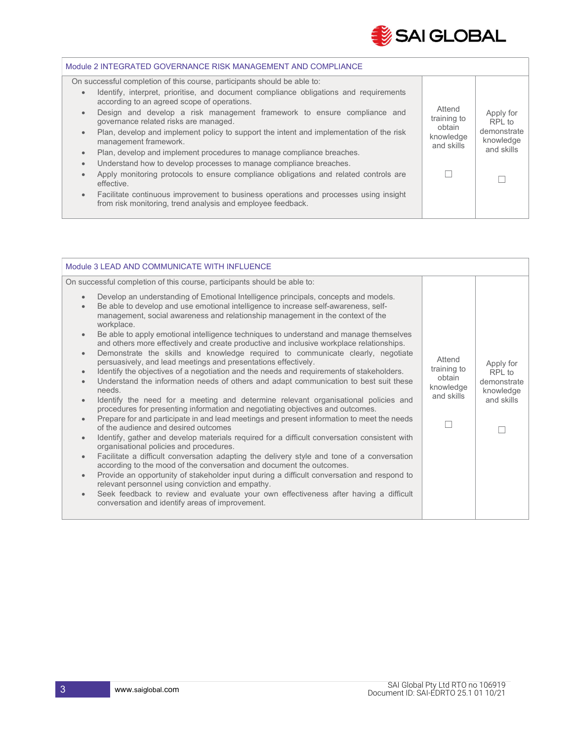

| Module 2 INTEGRATED GOVERNANCE RISK MANAGEMENT AND COMPLIANCE                                                                                                    |                                 |                          |  |
|------------------------------------------------------------------------------------------------------------------------------------------------------------------|---------------------------------|--------------------------|--|
| On successful completion of this course, participants should be able to:                                                                                         |                                 |                          |  |
| Identify, interpret, prioritise, and document compliance obligations and requirements<br>$\bullet$<br>according to an agreed scope of operations.                |                                 |                          |  |
| Design and develop a risk management framework to ensure compliance and<br>$\bullet$<br>governance related risks are managed.                                    | Attend<br>training to<br>obtain | Apply for<br>RPI to      |  |
| Plan, develop and implement policy to support the intent and implementation of the risk<br>$\bullet$<br>management framework.                                    | knowledge<br>and skills         | demonstrate<br>knowledge |  |
| Plan, develop and implement procedures to manage compliance breaches.<br>$\bullet$                                                                               |                                 | and skills               |  |
| Understand how to develop processes to manage compliance breaches.<br>$\bullet$                                                                                  |                                 |                          |  |
| Apply monitoring protocols to ensure compliance obligations and related controls are<br>$\bullet$<br>effective.                                                  |                                 |                          |  |
| Facilitate continuous improvement to business operations and processes using insight<br>$\bullet$<br>from risk monitoring, trend analysis and employee feedback. |                                 |                          |  |
|                                                                                                                                                                  |                                 |                          |  |

| Module 3 LEAD AND COMMUNICATE WITH INFLUENCE                                                                                                                                                                                                                                                                                                                                                                                                                                                                                                                                                                                                                                                                                                                                                                                                                                                                                                                                                                                                                                                                                                                                                                                                                                                                                                                                                                                                                                                                                                                                                                                                                                                                                                                                                                                                                                                                 |                                                            |                                                               |
|--------------------------------------------------------------------------------------------------------------------------------------------------------------------------------------------------------------------------------------------------------------------------------------------------------------------------------------------------------------------------------------------------------------------------------------------------------------------------------------------------------------------------------------------------------------------------------------------------------------------------------------------------------------------------------------------------------------------------------------------------------------------------------------------------------------------------------------------------------------------------------------------------------------------------------------------------------------------------------------------------------------------------------------------------------------------------------------------------------------------------------------------------------------------------------------------------------------------------------------------------------------------------------------------------------------------------------------------------------------------------------------------------------------------------------------------------------------------------------------------------------------------------------------------------------------------------------------------------------------------------------------------------------------------------------------------------------------------------------------------------------------------------------------------------------------------------------------------------------------------------------------------------------------|------------------------------------------------------------|---------------------------------------------------------------|
| On successful completion of this course, participants should be able to:                                                                                                                                                                                                                                                                                                                                                                                                                                                                                                                                                                                                                                                                                                                                                                                                                                                                                                                                                                                                                                                                                                                                                                                                                                                                                                                                                                                                                                                                                                                                                                                                                                                                                                                                                                                                                                     |                                                            |                                                               |
| Develop an understanding of Emotional Intelligence principals, concepts and models.<br>$\bullet$<br>Be able to develop and use emotional intelligence to increase self-awareness, self-<br>$\bullet$<br>management, social awareness and relationship management in the context of the<br>workplace.<br>Be able to apply emotional intelligence techniques to understand and manage themselves<br>$\bullet$<br>and others more effectively and create productive and inclusive workplace relationships.<br>Demonstrate the skills and knowledge required to communicate clearly, negotiate<br>$\bullet$<br>persuasively, and lead meetings and presentations effectively.<br>Identify the objectives of a negotiation and the needs and requirements of stakeholders.<br>$\bullet$<br>Understand the information needs of others and adapt communication to best suit these<br>$\bullet$<br>needs.<br>Identify the need for a meeting and determine relevant organisational policies and<br>$\bullet$<br>procedures for presenting information and negotiating objectives and outcomes.<br>Prepare for and participate in and lead meetings and present information to meet the needs<br>$\bullet$<br>of the audience and desired outcomes<br>Identify, gather and develop materials required for a difficult conversation consistent with<br>$\bullet$<br>organisational policies and procedures.<br>Facilitate a difficult conversation adapting the delivery style and tone of a conversation<br>$\bullet$<br>according to the mood of the conversation and document the outcomes.<br>Provide an opportunity of stakeholder input during a difficult conversation and respond to<br>$\bullet$<br>relevant personnel using conviction and empathy.<br>Seek feedback to review and evaluate your own effectiveness after having a difficult<br>$\bullet$<br>conversation and identify areas of improvement. | Attend<br>training to<br>obtain<br>knowledge<br>and skills | Apply for<br>RPI to<br>demonstrate<br>knowledge<br>and skills |